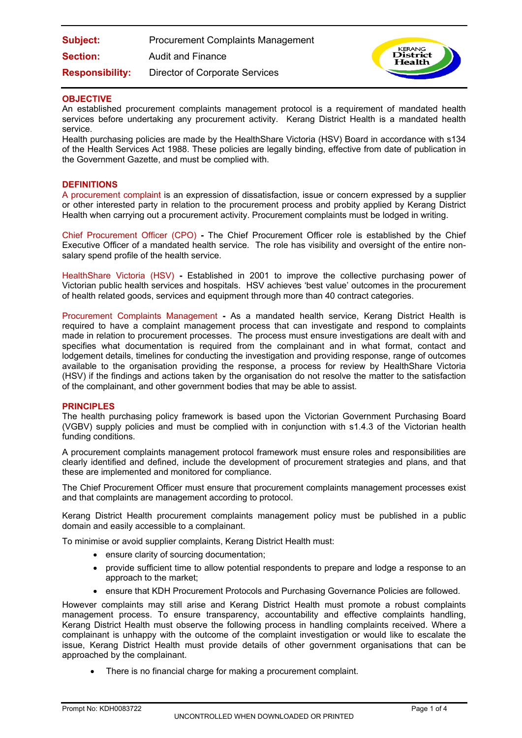| Subject:               | <b>Procurement Complaints Management</b> |
|------------------------|------------------------------------------|
| <b>Section:</b>        | Audit and Finance                        |
| <b>Responsibility:</b> | <b>Director of Corporate Services</b>    |



## **OBJECTIVE**

An established procurement complaints management protocol is a requirement of mandated health services before undertaking any procurement activity. Kerang District Health is a mandated health service.

Health purchasing policies are made by the HealthShare Victoria (HSV) Board in accordance with s134 of the Health Services Act 1988. These policies are legally binding, effective from date of publication in the Government Gazette, and must be complied with.

### **DEFINITIONS**

A procurement complaint is an expression of dissatisfaction, issue or concern expressed by a supplier or other interested party in relation to the procurement process and probity applied by Kerang District Health when carrying out a procurement activity. Procurement complaints must be lodged in writing.

Chief Procurement Officer (CPO) **-** The Chief Procurement Officer role is established by the Chief Executive Officer of a mandated health service. The role has visibility and oversight of the entire nonsalary spend profile of the health service.

HealthShare Victoria (HSV) **-** Established in 2001 to improve the collective purchasing power of Victorian public health services and hospitals. HSV achieves 'best value' outcomes in the procurement of health related goods, services and equipment through more than 40 contract categories.

Procurement Complaints Management **-** As a mandated health service, Kerang District Health is required to have a complaint management process that can investigate and respond to complaints made in relation to procurement processes. The process must ensure investigations are dealt with and specifies what documentation is required from the complainant and in what format, contact and lodgement details, timelines for conducting the investigation and providing response, range of outcomes available to the organisation providing the response, a process for review by HealthShare Victoria (HSV) if the findings and actions taken by the organisation do not resolve the matter to the satisfaction of the complainant, and other government bodies that may be able to assist.

### **PRINCIPLES**

The health purchasing policy framework is based upon the Victorian Government Purchasing Board (VGBV) supply policies and must be complied with in conjunction with s1.4.3 of the Victorian health funding conditions.

A procurement complaints management protocol framework must ensure roles and responsibilities are clearly identified and defined, include the development of procurement strategies and plans, and that these are implemented and monitored for compliance.

The Chief Procurement Officer must ensure that procurement complaints management processes exist and that complaints are management according to protocol.

Kerang District Health procurement complaints management policy must be published in a public domain and easily accessible to a complainant.

To minimise or avoid supplier complaints, Kerang District Health must:

- ensure clarity of sourcing documentation;
- provide sufficient time to allow potential respondents to prepare and lodge a response to an approach to the market;
- ensure that KDH Procurement Protocols and Purchasing Governance Policies are followed.

However complaints may still arise and Kerang District Health must promote a robust complaints management process. To ensure transparency, accountability and effective complaints handling, Kerang District Health must observe the following process in handling complaints received. Where a complainant is unhappy with the outcome of the complaint investigation or would like to escalate the issue, Kerang District Health must provide details of other government organisations that can be approached by the complainant.

There is no financial charge for making a procurement complaint.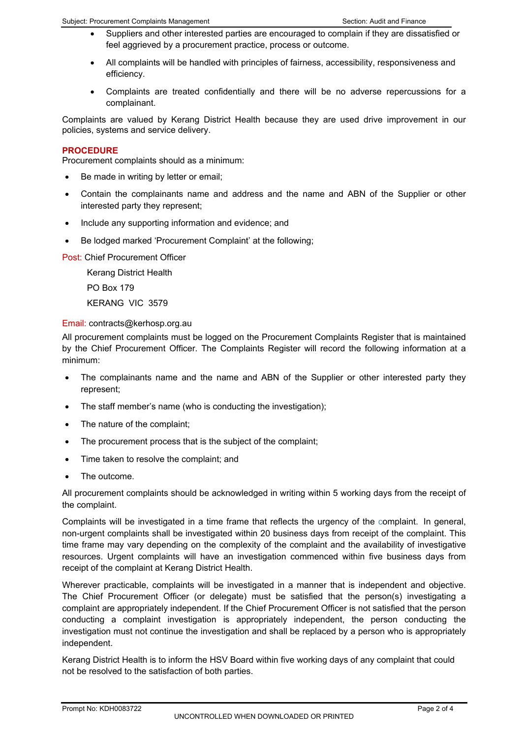- Suppliers and other interested parties are encouraged to complain if they are dissatisfied or feel aggrieved by a procurement practice, process or outcome.
- All complaints will be handled with principles of fairness, accessibility, responsiveness and efficiency.
- Complaints are treated confidentially and there will be no adverse repercussions for a complainant.

Complaints are valued by Kerang District Health because they are used drive improvement in our policies, systems and service delivery.

# **PROCEDURE**

Procurement complaints should as a minimum:

- Be made in writing by letter or email;
- Contain the complainants name and address and the name and ABN of the Supplier or other interested party they represent;
- Include any supporting information and evidence; and
- Be lodged marked 'Procurement Complaint' at the following;

Post: Chief Procurement Officer

Kerang District Health PO Box 179

KERANG VIC 3579

### Email: contracts@kerhosp.org.au

All procurement complaints must be logged on the Procurement Complaints Register that is maintained by the Chief Procurement Officer. The Complaints Register will record the following information at a minimum:

- The complainants name and the name and ABN of the Supplier or other interested party they represent;
- The staff member's name (who is conducting the investigation);
- The nature of the complaint;
- The procurement process that is the subject of the complaint;
- Time taken to resolve the complaint; and
- The outcome.

All procurement complaints should be acknowledged in writing within 5 working days from the receipt of the complaint.

Complaints will be investigated in a time frame that reflects the urgency of the complaint. In general, non-urgent complaints shall be investigated within 20 business days from receipt of the complaint. This time frame may vary depending on the complexity of the complaint and the availability of investigative resources. Urgent complaints will have an investigation commenced within five business days from receipt of the complaint at Kerang District Health.

Wherever practicable, complaints will be investigated in a manner that is independent and objective. The Chief Procurement Officer (or delegate) must be satisfied that the person(s) investigating a complaint are appropriately independent. If the Chief Procurement Officer is not satisfied that the person conducting a complaint investigation is appropriately independent, the person conducting the investigation must not continue the investigation and shall be replaced by a person who is appropriately independent.

Kerang District Health is to inform the HSV Board within five working days of any complaint that could not be resolved to the satisfaction of both parties.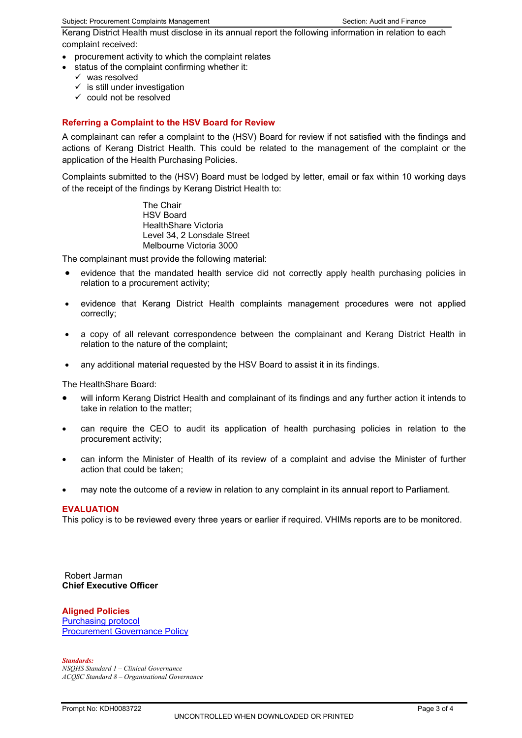Kerang District Health must disclose in its annual report the following information in relation to each complaint received:

- procurement activity to which the complaint relates
- status of the complaint confirming whether it:
	- $\checkmark$  was resolved
	- $\checkmark$  is still under investigation
	- $\checkmark$  could not be resolved

# **Referring a Complaint to the HSV Board for Review**

A complainant can refer a complaint to the (HSV) Board for review if not satisfied with the findings and actions of Kerang District Health. This could be related to the management of the complaint or the application of the Health Purchasing Policies.

Complaints submitted to the (HSV) Board must be lodged by letter, email or fax within 10 working days of the receipt of the findings by Kerang District Health to:

> The Chair HSV Board HealthShare Victoria Level 34, 2 Lonsdale Street Melbourne Victoria 3000

The complainant must provide the following material:

- evidence that the mandated health service did not correctly apply health purchasing policies in relation to a procurement activity;
- evidence that Kerang District Health complaints management procedures were not applied correctly;
- a copy of all relevant correspondence between the complainant and Kerang District Health in relation to the nature of the complaint;
- any additional material requested by the HSV Board to assist it in its findings.

The HealthShare Board:

- will inform Kerang District Health and complainant of its findings and any further action it intends to take in relation to the matter;
- can require the CEO to audit its application of health purchasing policies in relation to the procurement activity;
- can inform the Minister of Health of its review of a complaint and advise the Minister of further action that could be taken;
- may note the outcome of a review in relation to any complaint in its annual report to Parliament.

#### **EVALUATION**

This policy is to be reviewed every three years or earlier if required. VHIMs reports are to be monitored.

 Robert Jarman **Chief Executive Officer** 

### **Aligned Policies**

[Purchasing protocol](https://app.prompt.org.au/download/83630?code=b152b1fba9d970159f1f10c7f7e4e673) [Procurement Governance Policy](https://app.prompt.org.au/download/83686?code=ab3e6f33a2915c065f600ef4cba6e87f)

*Standards: NSQHS Standard 1 – Clinical Governance ACQSC Standard 8 – Organisational Governance*